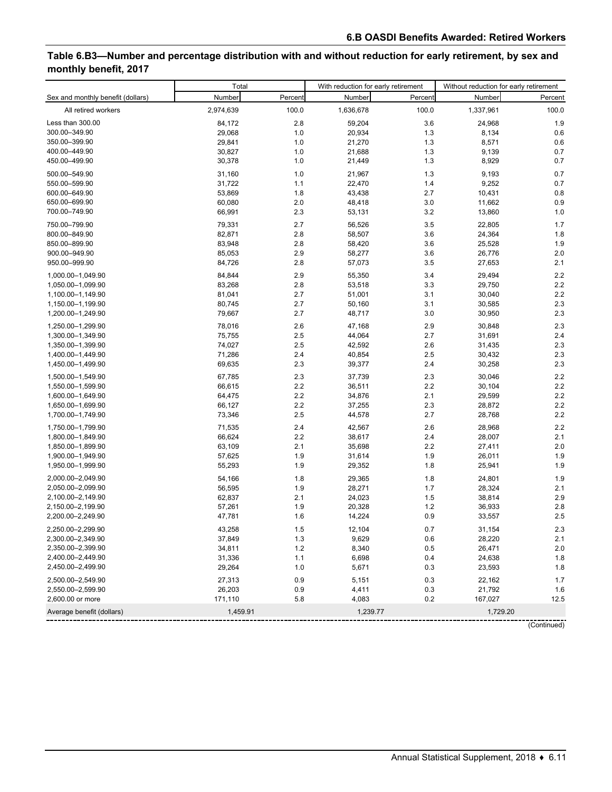# **Table 6.B3—Number and percentage distribution with and without reduction for early retirement, by sex and monthly benefit, 2017**

|                                   | Total     |         | With reduction for early retirement |         | Without reduction for early retirement |         |  |
|-----------------------------------|-----------|---------|-------------------------------------|---------|----------------------------------------|---------|--|
| Sex and monthly benefit (dollars) | Number    | Percent | Number                              | Percent | Number                                 | Percent |  |
| All retired workers               | 2,974,639 | 100.0   | 1,636,678                           | 100.0   | 1,337,961                              | 100.0   |  |
| Less than 300.00                  | 84,172    | 2.8     | 59,204                              | 3.6     | 24,968                                 | 1.9     |  |
| 300.00-349.90                     | 29,068    | 1.0     | 20,934                              | 1.3     | 8,134                                  | 0.6     |  |
| 350.00-399.90                     | 29,841    | 1.0     | 21,270                              | 1.3     | 8,571                                  | 0.6     |  |
| 400.00-449.90                     | 30,827    | 1.0     | 21,688                              | 1.3     | 9,139                                  | 0.7     |  |
| 450.00-499.90                     | 30,378    | 1.0     | 21,449                              | 1.3     | 8,929                                  | 0.7     |  |
| 500.00-549.90                     | 31,160    | 1.0     | 21,967                              | 1.3     | 9,193                                  | 0.7     |  |
| 550.00-599.90                     | 31,722    | 1.1     | 22,470                              | 1.4     | 9,252                                  | 0.7     |  |
| 600.00-649.90                     | 53,869    | 1.8     | 43,438                              | 2.7     | 10,431                                 | 0.8     |  |
| 650.00-699.90                     | 60,080    | 2.0     | 48,418                              | 3.0     | 11,662                                 | 0.9     |  |
| 700.00-749.90                     | 66,991    | 2.3     | 53,131                              | 3.2     | 13,860                                 | 1.0     |  |
| 750.00-799.90                     | 79,331    | 2.7     | 56,526                              | 3.5     | 22,805                                 | 1.7     |  |
| 800.00-849.90                     | 82,871    | 2.8     | 58,507                              | 3.6     | 24,364                                 | 1.8     |  |
| 850.00-899.90                     | 83,948    | 2.8     | 58,420                              | 3.6     | 25,528                                 | 1.9     |  |
| 900.00-949.90                     | 85,053    | 2.9     | 58,277                              | 3.6     | 26,776                                 | 2.0     |  |
| 950.00-999.90                     | 84,726    | 2.8     | 57,073                              | 3.5     | 27,653                                 | 2.1     |  |
| 1,000.00-1,049.90                 | 84,844    | 2.9     | 55,350                              | 3.4     | 29,494                                 | 2.2     |  |
| 1,050.00-1,099.90                 | 83,268    | 2.8     | 53,518                              | 3.3     | 29,750                                 | 2.2     |  |
| 1,100.00-1,149.90                 | 81,041    | 2.7     | 51,001                              | 3.1     | 30,040                                 | 2.2     |  |
| 1,150.00-1,199.90                 | 80,745    | 2.7     | 50,160                              | 3.1     | 30,585                                 | 2.3     |  |
| 1,200.00-1,249.90                 | 79,667    | 2.7     | 48,717                              | 3.0     | 30,950                                 | 2.3     |  |
| 1,250.00-1,299.90                 | 78,016    | 2.6     | 47,168                              | 2.9     | 30,848                                 | 2.3     |  |
| 1,300.00-1,349.90                 | 75,755    | 2.5     | 44,064                              | 2.7     | 31,691                                 | 2.4     |  |
| 1,350.00-1,399.90                 | 74,027    | 2.5     | 42,592                              | 2.6     | 31,435                                 | 2.3     |  |
| 1,400.00-1,449.90                 | 71,286    | 2.4     | 40,854                              | 2.5     | 30,432                                 | 2.3     |  |
| 1,450.00-1,499.90                 | 69,635    | 2.3     | 39,377                              | 2.4     | 30,258                                 | 2.3     |  |
| 1,500.00-1,549.90                 | 67,785    | 2.3     | 37,739                              | 2.3     | 30,046                                 | 2.2     |  |
| 1,550.00-1,599.90                 | 66,615    | 2.2     | 36,511                              | 2.2     | 30,104                                 | 2.2     |  |
| 1,600.00-1,649.90                 | 64,475    | 2.2     | 34,876                              | 2.1     | 29,599                                 | 2.2     |  |
| 1,650.00-1,699.90                 | 66,127    | 2.2     | 37,255                              | 2.3     | 28,872                                 | 2.2     |  |
| 1,700.00-1,749.90                 | 73,346    | 2.5     | 44,578                              | 2.7     | 28,768                                 | 2.2     |  |
| 1,750.00-1,799.90                 | 71,535    | 2.4     | 42,567                              | 2.6     | 28,968                                 | 2.2     |  |
| 1,800.00-1,849.90                 | 66,624    | 2.2     | 38,617                              | 2.4     | 28,007                                 | 2.1     |  |
| 1,850.00-1,899.90                 | 63,109    | 2.1     | 35,698                              | 2.2     | 27,411                                 | 2.0     |  |
| 1,900.00-1,949.90                 | 57,625    | 1.9     | 31,614                              | 1.9     | 26,011                                 | 1.9     |  |
| 1,950.00-1,999.90                 | 55,293    | 1.9     | 29,352                              | 1.8     | 25,941                                 | 1.9     |  |
| 2,000.00-2,049.90                 | 54,166    | 1.8     | 29,365                              | 1.8     | 24,801                                 | 1.9     |  |
| 2,050.00-2,099.90                 | 56,595    | 1.9     | 28,271                              | 1.7     | 28,324                                 | 2.1     |  |
| 2,100.00-2,149.90                 | 62,837    | 2.1     | 24,023                              | 1.5     | 38,814                                 | 2.9     |  |
| 2,150.00-2,199.90                 | 57,261    | 1.9     | 20,328                              | 1.2     | 36,933                                 | 2.8     |  |
| 2,200.00-2,249.90                 | 47,781    | 1.6     | 14,224                              | 0.9     | 33,557                                 | 2.5     |  |
| 2,250.00-2,299.90                 | 43,258    | $1.5\,$ | 12,104                              | 0.7     | 31,154                                 | $2.3\,$ |  |
| 2,300.00-2,349.90                 | 37,849    | 1.3     | 9,629                               | 0.6     | 28,220                                 | 2.1     |  |
| 2,350.00-2,399.90                 | 34,811    | 1.2     | 8,340                               | 0.5     | 26,471                                 | 2.0     |  |
| 2,400.00-2,449.90                 | 31,336    | 1.1     | 6,698                               | 0.4     | 24,638                                 | 1.8     |  |
| 2,450.00-2,499.90                 | 29,264    | 1.0     | 5,671                               | 0.3     | 23,593                                 | 1.8     |  |
| 2,500.00-2,549.90                 | 27,313    | 0.9     | 5,151                               | 0.3     | 22,162                                 | 1.7     |  |
| 2,550.00-2,599.90                 | 26,203    | 0.9     | 4,411                               | 0.3     | 21,792                                 | 1.6     |  |
| 2,600.00 or more                  | 171,110   | 5.8     | 4,083                               | 0.2     | 167,027                                | 12.5    |  |
| Average benefit (dollars)         | 1,459.91  |         | 1,239.77                            |         | 1,729.20                               |         |  |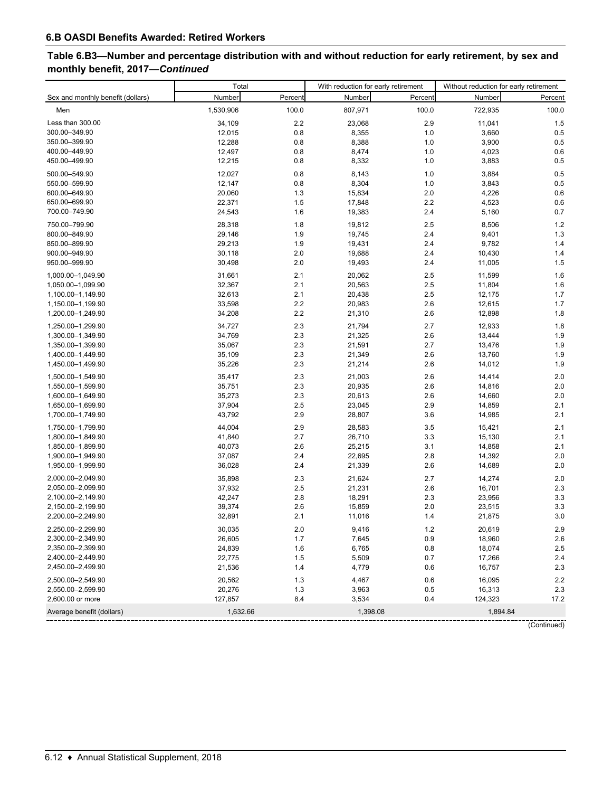# **Table 6.B3—Number and percentage distribution with and without reduction for early retirement, by sex and monthly benefit, 2017—***Continued*

|                                   | Total     |         | With reduction for early retirement |         | Without reduction for early retirement |          |  |
|-----------------------------------|-----------|---------|-------------------------------------|---------|----------------------------------------|----------|--|
| Sex and monthly benefit (dollars) | Number    | Percent | Number                              | Percent | Number                                 | Percent  |  |
| Men                               | 1,530,906 | 100.0   | 807,971                             | 100.0   | 722,935                                | 100.0    |  |
| Less than 300.00                  | 34,109    | 2.2     | 23,068                              | 2.9     | 11,041                                 | 1.5      |  |
| 300.00-349.90                     | 12,015    | 0.8     | 8,355                               | 1.0     | 3,660                                  | 0.5      |  |
| 350.00-399.90                     | 12,288    | 0.8     | 8,388                               | 1.0     | 3,900                                  | 0.5      |  |
| 400.00-449.90                     | 12,497    | 0.8     | 8,474                               | 1.0     | 4,023                                  | 0.6      |  |
| 450.00-499.90                     | 12,215    | 0.8     | 8,332                               | 1.0     | 3,883                                  | 0.5      |  |
| 500.00-549.90                     | 12,027    | 0.8     | 8,143                               | 1.0     | 3,884                                  | 0.5      |  |
| 550.00-599.90                     | 12,147    | 0.8     | 8,304                               | 1.0     | 3,843                                  | 0.5      |  |
| 600.00-649.90                     | 20,060    | 1.3     | 15,834                              | 2.0     | 4,226                                  | 0.6      |  |
| 650.00-699.90                     | 22,371    | 1.5     | 17,848                              | 2.2     | 4,523                                  | 0.6      |  |
| 700.00-749.90                     | 24,543    | 1.6     | 19,383                              | 2.4     | 5,160                                  | 0.7      |  |
| 750.00-799.90                     | 28,318    | 1.8     | 19,812                              | 2.5     | 8,506                                  | 1.2      |  |
| 800.00-849.90                     | 29,146    | 1.9     | 19,745                              | 2.4     | 9,401                                  | 1.3      |  |
| 850.00-899.90                     | 29,213    | 1.9     | 19,431                              | 2.4     | 9,782                                  | 1.4      |  |
| 900.00-949.90                     | 30,118    | 2.0     | 19,688                              | 2.4     | 10,430                                 | 1.4      |  |
| 950.00-999.90                     | 30,498    | 2.0     | 19,493                              | 2.4     | 11,005                                 | 1.5      |  |
| 1,000.00-1,049.90                 | 31,661    | 2.1     | 20,062                              | 2.5     | 11,599                                 | 1.6      |  |
| 1,050.00-1,099.90                 | 32,367    | 2.1     | 20,563                              | 2.5     | 11,804                                 | 1.6      |  |
| 1,100.00-1,149.90                 | 32,613    | 2.1     | 20,438                              | 2.5     | 12,175                                 | 1.7      |  |
| 1,150.00-1,199.90                 | 33,598    | 2.2     | 20,983                              | 2.6     | 12,615                                 | 1.7      |  |
| 1,200.00-1,249.90                 | 34,208    | 2.2     | 21,310                              | 2.6     | 12,898                                 | 1.8      |  |
| 1,250.00-1,299.90                 | 34,727    | 2.3     | 21,794                              | 2.7     | 12,933                                 | 1.8      |  |
| 1,300.00-1,349.90                 | 34,769    | 2.3     | 21,325                              | 2.6     | 13,444                                 | 1.9      |  |
| 1,350.00-1,399.90                 | 35,067    | 2.3     | 21,591                              | 2.7     | 13,476                                 | 1.9      |  |
| 1,400.00-1,449.90                 | 35,109    | 2.3     | 21,349                              | 2.6     | 13,760                                 | 1.9      |  |
| 1,450.00-1,499.90                 | 35,226    | 2.3     | 21,214                              | 2.6     | 14,012                                 | 1.9      |  |
| 1,500.00-1,549.90                 | 35,417    | 2.3     | 21,003                              | 2.6     | 14,414                                 | 2.0      |  |
| 1,550.00-1,599.90                 | 35,751    | 2.3     | 20,935                              | 2.6     | 14,816                                 | 2.0      |  |
| 1,600.00-1,649.90                 | 35,273    | 2.3     | 20,613                              | 2.6     | 14,660                                 | 2.0      |  |
| 1,650.00-1,699.90                 | 37,904    | 2.5     | 23,045                              | 2.9     | 14,859                                 | 2.1      |  |
| 1,700.00-1,749.90                 | 43,792    | 2.9     | 28,807                              | 3.6     | 14,985                                 | 2.1      |  |
| 1,750.00-1,799.90                 | 44,004    | 2.9     | 28,583                              | 3.5     | 15,421                                 | 2.1      |  |
| 1,800.00-1,849.90                 | 41,840    | 2.7     | 26,710                              | 3.3     | 15,130                                 | 2.1      |  |
| 1,850.00-1,899.90                 | 40,073    | 2.6     | 25,215                              | 3.1     | 14,858                                 | 2.1      |  |
| 1,900.00-1,949.90                 | 37,087    | 2.4     | 22,695                              | 2.8     | 14,392                                 | 2.0      |  |
| 1,950.00-1,999.90                 | 36,028    | 2.4     | 21,339                              | 2.6     | 14,689                                 | $2.0$    |  |
| 2,000.00-2,049.90                 | 35,898    | 2.3     | 21,624                              | 2.7     | 14,274                                 | 2.0      |  |
| 2,050.00-2,099.90                 | 37,932    | 2.5     | 21,231                              | 2.6     | 16,701                                 | 2.3      |  |
| 2,100.00-2,149.90                 | 42,247    | 2.8     | 18,291                              | 2.3     | 23,956                                 | 3.3      |  |
| 2,150.00-2,199.90                 | 39,374    | 2.6     | 15,859                              | 2.0     | 23,515                                 | 3.3      |  |
| 2,200.00-2,249.90                 | 32,891    | 2.1     | 11,016                              | 1.4     | 21,875                                 | 3.0      |  |
| 2,250.00-2,299.90                 | 30,035    | 2.0     | 9,416                               | $1.2$   | 20,619                                 | 2.9      |  |
| 2,300.00-2,349.90                 | 26,605    | 1.7     | 7,645                               | 0.9     | 18,960                                 | 2.6      |  |
| 2,350.00-2,399.90                 | 24,839    | 1.6     | 6,765                               | 0.8     | 18,074                                 | 2.5      |  |
| 2,400.00-2,449.90                 | 22,775    | 1.5     | 5,509                               | 0.7     | 17,266                                 | 2.4      |  |
| 2,450.00-2,499.90                 | 21,536    | 1.4     | 4,779                               | 0.6     | 16,757                                 | 2.3      |  |
| 2,500.00-2,549.90                 | 20,562    | 1.3     | 4,467                               | 0.6     | 16,095                                 | 2.2      |  |
| 2,550.00-2,599.90                 | 20,276    | 1.3     | 3,963                               | 0.5     | 16,313                                 | 2.3      |  |
| 2,600.00 or more                  | 127,857   | 8.4     | 3,534                               | 0.4     | 124,323                                | 17.2     |  |
| Average benefit (dollars)         | 1,632.66  |         | 1,398.08                            |         |                                        | 1,894.84 |  |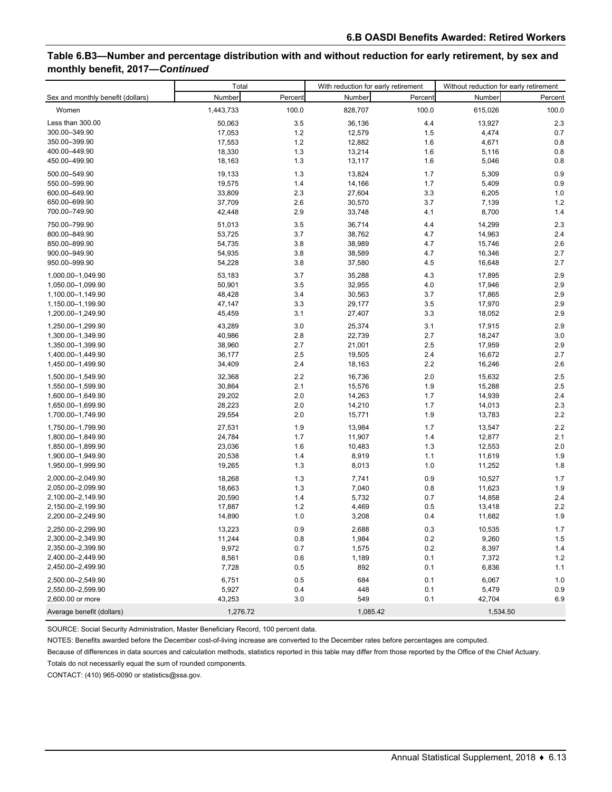### **Table 6.B3—Number and percentage distribution with and without reduction for early retirement, by sex and monthly benefit, 2017—***Continued*

|                                   | Total     |         | With reduction for early retirement |         | Without reduction for early retirement |          |  |
|-----------------------------------|-----------|---------|-------------------------------------|---------|----------------------------------------|----------|--|
| Sex and monthly benefit (dollars) | Number    | Percent | Number                              | Percent | Number                                 | Percent  |  |
| Women                             | 1,443,733 | 100.0   | 828,707                             | 100.0   | 615,026                                | 100.0    |  |
| Less than 300.00                  | 50,063    | 3.5     | 36,136                              | 4.4     | 13,927                                 | 2.3      |  |
| 300.00-349.90                     | 17,053    | 1.2     | 12,579                              | 1.5     | 4,474                                  | 0.7      |  |
| 350.00-399.90                     | 17,553    | 1.2     | 12,882                              | 1.6     | 4,671                                  | 0.8      |  |
| 400.00-449.90                     | 18,330    | 1.3     | 13,214                              | 1.6     | 5,116                                  | 0.8      |  |
| 450.00-499.90                     | 18,163    | 1.3     | 13,117                              | 1.6     | 5,046                                  | 0.8      |  |
| 500.00-549.90                     | 19,133    | 1.3     | 13,824                              | 1.7     | 5,309                                  | 0.9      |  |
| 550.00-599.90                     | 19,575    | 1.4     | 14,166                              | 1.7     | 5,409                                  | 0.9      |  |
| 600.00-649.90                     | 33,809    | 2.3     | 27,604                              | 3.3     | 6,205                                  | 1.0      |  |
| 650.00-699.90                     | 37,709    | 2.6     | 30,570                              | 3.7     | 7,139                                  | 1.2      |  |
| 700.00-749.90                     | 42,448    | 2.9     | 33,748                              | 4.1     | 8,700                                  | 1.4      |  |
| 750.00-799.90                     | 51,013    | 3.5     | 36,714                              | 4.4     | 14,299                                 | 2.3      |  |
| 800.00-849.90                     | 53,725    | 3.7     | 38,762                              | 4.7     | 14,963                                 | 2.4      |  |
| 850.00-899.90                     | 54,735    | 3.8     | 38,989                              | 4.7     | 15,746                                 | 2.6      |  |
| 900.00-949.90                     | 54,935    | 3.8     | 38,589                              | 4.7     | 16,346                                 | 2.7      |  |
| 950.00-999.90                     | 54,228    | 3.8     | 37,580                              | 4.5     | 16,648                                 | 2.7      |  |
| 1,000.00-1,049.90                 | 53,183    | 3.7     | 35,288                              | 4.3     | 17,895                                 | 2.9      |  |
| 1,050.00-1,099.90                 | 50,901    | 3.5     | 32,955                              | 4.0     | 17,946                                 | 2.9      |  |
| 1,100.00-1,149.90                 | 48,428    | 3.4     | 30,563                              | 3.7     | 17,865                                 | 2.9      |  |
| 1,150.00-1,199.90                 | 47,147    | 3.3     | 29,177                              | 3.5     | 17,970                                 | 2.9      |  |
| 1,200.00-1,249.90                 | 45,459    | 3.1     | 27,407                              | 3.3     | 18,052                                 | 2.9      |  |
| 1,250.00-1,299.90                 | 43,289    | 3.0     | 25,374                              | 3.1     | 17,915                                 | 2.9      |  |
| 1,300.00-1,349.90                 | 40,986    | 2.8     | 22,739                              | 2.7     | 18,247                                 | 3.0      |  |
| 1,350.00-1,399.90                 | 38,960    | 2.7     | 21,001                              | 2.5     | 17,959                                 | 2.9      |  |
| 1,400.00-1,449.90                 | 36,177    | 2.5     | 19,505                              | 2.4     | 16,672                                 | 2.7      |  |
| 1,450.00-1,499.90                 | 34,409    | 2.4     | 18,163                              | 2.2     | 16,246                                 | 2.6      |  |
| 1,500.00-1,549.90                 | 32,368    | 2.2     | 16,736                              | 2.0     | 15,632                                 | 2.5      |  |
| 1,550.00-1,599.90                 | 30,864    | 2.1     | 15,576                              | 1.9     | 15,288                                 | 2.5      |  |
| 1,600.00-1,649.90                 | 29,202    | 2.0     | 14,263                              | 1.7     | 14,939                                 | 2.4      |  |
| 1,650.00-1,699.90                 | 28,223    | 2.0     | 14,210                              | 1.7     | 14,013                                 | 2.3      |  |
| 1,700.00-1,749.90                 | 29,554    | 2.0     | 15,771                              | 1.9     | 13,783                                 | 2.2      |  |
| 1,750.00-1,799.90                 | 27,531    | 1.9     | 13,984                              | 1.7     | 13,547                                 | 2.2      |  |
| 1,800.00-1,849.90                 | 24,784    | 1.7     | 11,907                              | 1.4     | 12,877                                 | 2.1      |  |
| 1,850.00-1,899.90                 | 23,036    | 1.6     | 10,483                              | 1.3     | 12,553                                 | 2.0      |  |
| 1,900.00-1,949.90                 | 20,538    | 1.4     | 8,919                               | 1.1     | 11,619                                 | 1.9      |  |
| 1,950.00-1,999.90                 | 19,265    | 1.3     | 8,013                               | 1.0     | 11,252                                 | 1.8      |  |
| 2,000.00-2,049.90                 | 18,268    | 1.3     | 7,741                               | 0.9     | 10,527                                 | 1.7      |  |
| 2,050.00-2,099.90                 | 18,663    | 1.3     | 7,040                               | 0.8     | 11,623                                 | 1.9      |  |
| 2,100.00-2,149.90                 | 20,590    | 1.4     | 5,732                               | 0.7     | 14,858                                 | 2.4      |  |
| 2,150.00-2,199.90                 | 17,887    | 1.2     | 4,469                               | 0.5     | 13,418                                 | 2.2      |  |
| 2,200.00-2,249.90                 | 14,890    | 1.0     | 3,208                               | 0.4     | 11,682                                 | 1.9      |  |
| 2,250.00-2,299.90                 | 13,223    | $0.9\,$ | 2,688                               | $0.3\,$ | 10,535                                 | $1.7\,$  |  |
| 2,300.00-2,349.90                 | 11,244    | 0.8     | 1,984                               | 0.2     | 9,260                                  | 1.5      |  |
| 2,350.00-2,399.90                 | 9,972     | 0.7     | 1,575                               | 0.2     | 8,397                                  | 1.4      |  |
| 2,400.00-2,449.90                 | 8,561     | 0.6     | 1,189                               | 0.1     | 7,372                                  | 1.2      |  |
| 2,450.00-2,499.90                 | 7,728     | 0.5     | 892                                 | 0.1     | 6,836                                  | 1.1      |  |
| 2,500.00-2,549.90                 | 6,751     | 0.5     | 684                                 | 0.1     | 6,067                                  | 1.0      |  |
| 2,550.00-2,599.90                 | 5,927     | 0.4     | 448                                 | 0.1     | 5,479                                  | 0.9      |  |
| 2,600.00 or more                  | 43,253    | 3.0     | 549                                 | 0.1     | 42,704                                 | 6.9      |  |
| Average benefit (dollars)         | 1,276.72  |         | 1,085.42                            |         |                                        | 1,534.50 |  |

SOURCE: Social Security Administration, Master Beneficiary Record, 100 percent data.

NOTES: Benefits awarded before the December cost-of-living increase are converted to the December rates before percentages are computed.

Because of differences in data sources and calculation methods, statistics reported in this table may differ from those reported by the Office of the Chief Actuary.

Totals do not necessarily equal the sum of rounded components.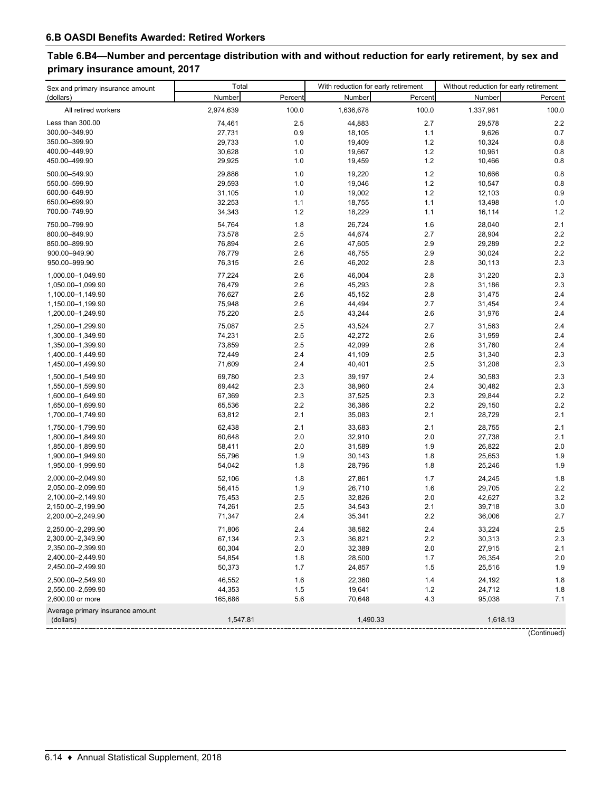# **Table 6.B4—Number and percentage distribution with and without reduction for early retirement, by sex and primary insurance amount, 2017**

| Sex and primary insurance amount | Total            |            | With reduction for early retirement |            | Without reduction for early retirement |             |  |
|----------------------------------|------------------|------------|-------------------------------------|------------|----------------------------------------|-------------|--|
| (dollars)                        | Number           | Percent    | Number                              | Percent    | Number                                 | Percent     |  |
| All retired workers              | 2,974,639        | 100.0      | 1,636,678                           | 100.0      | 1,337,961                              | 100.0       |  |
| Less than 300.00                 | 74,461           | 2.5        | 44,883                              | 2.7        | 29,578                                 | 2.2         |  |
| 300.00-349.90                    | 27,731           | 0.9        | 18,105                              | 1.1        | 9,626                                  | 0.7         |  |
| 350.00-399.90                    | 29,733           | 1.0        | 19,409                              | 1.2        | 10,324                                 | 0.8         |  |
| 400.00-449.90                    | 30,628           | 1.0        | 19,667                              | 1.2        | 10,961                                 | 0.8         |  |
| 450.00-499.90                    | 29,925           | 1.0        | 19,459                              | 1.2        | 10,466                                 | 0.8         |  |
| 500.00-549.90                    | 29,886           | 1.0        | 19,220                              | 1.2        | 10,666                                 | 0.8         |  |
| 550.00-599.90                    | 29,593           | 1.0        | 19,046                              | 1.2        | 10,547                                 | 0.8         |  |
| 600.00-649.90                    | 31,105           | 1.0        | 19,002                              | 1.2        | 12,103                                 | 0.9         |  |
| 650.00-699.90                    | 32,253           | 1.1        | 18,755                              | 1.1        | 13,498                                 | 1.0         |  |
| 700.00-749.90                    | 34,343           | 1.2        | 18,229                              | 1.1        | 16,114                                 | 1.2         |  |
| 750.00-799.90                    |                  |            |                                     |            |                                        |             |  |
| 800.00-849.90                    | 54,764<br>73,578 | 1.8<br>2.5 | 26,724                              | 1.6<br>2.7 | 28,040<br>28,904                       | 2.1<br>2.2  |  |
| 850.00-899.90                    | 76,894           | 2.6        | 44,674                              | 2.9        | 29,289                                 | 2.2         |  |
| 900.00-949.90                    | 76,779           | 2.6        | 47,605<br>46,755                    | 2.9        | 30,024                                 | 2.2         |  |
| 950.00-999.90                    | 76,315           | 2.6        | 46,202                              | 2.8        | 30,113                                 | 2.3         |  |
|                                  |                  |            |                                     |            |                                        |             |  |
| 1,000.00-1,049.90                | 77,224           | 2.6        | 46,004                              | 2.8        | 31,220                                 | 2.3         |  |
| 1,050.00-1,099.90                | 76,479           | 2.6        | 45,293                              | 2.8        | 31,186                                 | 2.3         |  |
| 1,100.00-1,149.90                | 76,627           | 2.6        | 45,152                              | 2.8        | 31,475                                 | 2.4         |  |
| 1,150.00-1,199.90                | 75,948           | 2.6        | 44,494                              | 2.7        | 31,454                                 | 2.4         |  |
| 1,200.00-1,249.90                | 75,220           | 2.5        | 43,244                              | 2.6        | 31,976                                 | 2.4         |  |
| 1,250.00-1,299.90                | 75,087           | 2.5        | 43,524                              | 2.7        | 31,563                                 | 2.4         |  |
| 1,300.00-1,349.90                | 74,231           | 2.5        | 42,272                              | 2.6        | 31,959                                 | 2.4         |  |
| 1,350.00-1,399.90                | 73,859           | 2.5        | 42,099                              | 2.6        | 31,760                                 | 2.4         |  |
| 1,400.00-1,449.90                | 72,449           | 2.4        | 41,109                              | 2.5        | 31,340                                 | 2.3         |  |
| 1,450.00-1,499.90                | 71,609           | 2.4        | 40,401                              | 2.5        | 31,208                                 | 2.3         |  |
| 1,500.00-1,549.90                | 69,780           | 2.3        | 39,197                              | 2.4        | 30,583                                 | 2.3         |  |
| 1,550.00-1,599.90                | 69,442           | 2.3        | 38,960                              | 2.4        | 30,482                                 | 2.3         |  |
| 1,600.00-1,649.90                | 67,369           | 2.3        | 37,525                              | 2.3        | 29,844                                 | 2.2         |  |
| 1,650.00-1,699.90                | 65,536           | 2.2        | 36,386                              | 2.2        | 29,150                                 | 2.2         |  |
| 1,700.00-1,749.90                | 63,812           | 2.1        | 35,083                              | 2.1        | 28,729                                 | 2.1         |  |
| 1,750.00-1,799.90                | 62,438           | 2.1        | 33,683                              | 2.1        | 28,755                                 | 2.1         |  |
| 1,800.00-1,849.90                | 60,648           | 2.0        | 32,910                              | 2.0        | 27,738                                 | 2.1         |  |
| 1,850.00-1,899.90                | 58,411           | 2.0        | 31,589                              | 1.9        | 26,822                                 | 2.0         |  |
| 1,900.00-1,949.90                | 55,796           | 1.9        | 30,143                              | 1.8        | 25,653                                 | 1.9         |  |
| 1,950.00-1,999.90                | 54,042           | 1.8        | 28,796                              | 1.8        | 25,246                                 | 1.9         |  |
| 2,000.00-2,049.90                | 52.106           | 1.8        | 27,861                              | 1.7        | 24,245                                 | 1.8         |  |
| 2,050.00-2,099.90                | 56,415           | 1.9        | 26,710                              | 1.6        | 29,705                                 | 2.2         |  |
| 2,100.00-2,149.90                | 75,453           | 2.5        | 32,826                              | 2.0        | 42,627                                 | 3.2         |  |
| 2,150.00-2,199.90                | 74,261           | 2.5        | 34,543                              | 2.1        | 39,718                                 | 3.0         |  |
| 2,200.00-2,249.90                | 71,347           | 2.4        | 35,341                              | 2.2        | 36,006                                 | 2.7         |  |
| 2,250.00-2,299.90                | 71,806           | 2.4        | 38,582                              | $2.4\,$    | 33,224                                 | 2.5         |  |
| 2,300.00-2,349.90                | 67,134           | 2.3        | 36,821                              | 2.2        | 30,313                                 | 2.3         |  |
| 2,350.00-2,399.90                | 60,304           | 2.0        | 32,389                              | 2.0        | 27,915                                 | 2.1         |  |
| 2,400.00-2,449.90                | 54,854           | 1.8        | 28,500                              | 1.7        | 26,354                                 | 2.0         |  |
| 2,450.00-2,499.90                | 50,373           | 1.7        | 24,857                              | 1.5        | 25,516                                 | 1.9         |  |
| 2,500.00-2,549.90                | 46,552           | 1.6        | 22,360                              | 1.4        | 24,192                                 | 1.8         |  |
| 2,550.00-2,599.90                | 44,353           | 1.5        | 19,641                              | 1.2        | 24,712                                 | 1.8         |  |
| 2,600.00 or more                 | 165,686          | 5.6        | 70,648                              | 4.3        | 95,038                                 | 7.1         |  |
| Average primary insurance amount |                  |            |                                     |            |                                        |             |  |
| (dollars)                        | 1,547.81         |            | 1,490.33                            |            | 1,618.13                               |             |  |
|                                  |                  |            |                                     |            |                                        | (Continued) |  |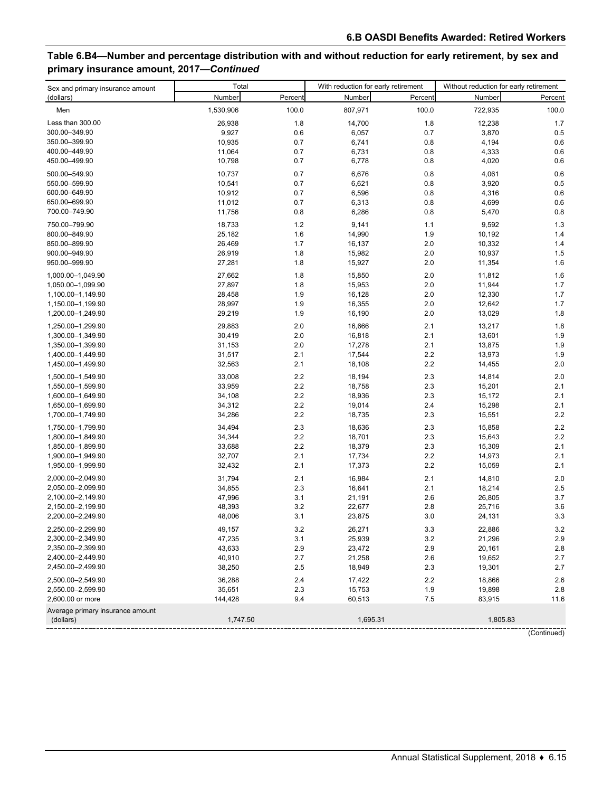# **Table 6.B4—Number and percentage distribution with and without reduction for early retirement, by sex and primary insurance amount, 2017—***Continued*

| Sex and primary insurance amount              | Total            |            | With reduction for early retirement |            | Without reduction for early retirement |            |  |
|-----------------------------------------------|------------------|------------|-------------------------------------|------------|----------------------------------------|------------|--|
| (dollars)                                     | Number           | Percent    | Number                              | Percent    | Number                                 | Percent    |  |
| Men                                           | 1,530,906        | 100.0      | 807,971                             | 100.0      | 722,935                                | 100.0      |  |
| Less than 300.00                              | 26,938           | 1.8        | 14,700                              | 1.8        | 12,238                                 | 1.7        |  |
| 300.00-349.90                                 | 9,927            | 0.6        | 6,057                               | 0.7        | 3,870                                  | 0.5        |  |
| 350.00-399.90                                 | 10,935           | 0.7        | 6,741                               | 0.8        | 4,194                                  | 0.6        |  |
| 400.00-449.90                                 | 11,064           | 0.7        | 6,731                               | 0.8        | 4,333                                  | 0.6        |  |
| 450.00-499.90                                 | 10,798           | 0.7        | 6,778                               | 0.8        | 4,020                                  | 0.6        |  |
| 500.00-549.90                                 | 10,737           | 0.7        | 6,676                               | 0.8        | 4,061                                  | 0.6        |  |
| 550.00-599.90                                 | 10,541           | 0.7        | 6,621                               | 0.8        | 3,920                                  | 0.5        |  |
| 600.00-649.90                                 | 10,912           | 0.7        | 6,596                               | 0.8        | 4,316                                  | 0.6        |  |
| 650.00-699.90                                 | 11,012           | 0.7        | 6,313                               | 0.8        | 4,699                                  | 0.6        |  |
| 700.00-749.90                                 | 11,756           | 0.8        | 6,286                               | 0.8        | 5,470                                  | 0.8        |  |
|                                               |                  |            |                                     |            |                                        |            |  |
| 750.00-799.90                                 | 18,733           | 1.2        | 9,141                               | 1.1        | 9,592                                  | 1.3        |  |
| 800.00-849.90                                 | 25,182           | 1.6        | 14,990                              | 1.9        | 10,192                                 | 1.4        |  |
| 850.00-899.90                                 | 26,469           | 1.7        | 16,137                              | 2.0        | 10,332                                 | 1.4        |  |
| 900.00-949.90<br>950.00-999.90                | 26,919<br>27,281 | 1.8<br>1.8 | 15,982<br>15,927                    | 2.0<br>2.0 | 10,937<br>11,354                       | 1.5<br>1.6 |  |
|                                               |                  |            |                                     |            |                                        |            |  |
| 1,000.00-1,049.90                             | 27,662           | 1.8        | 15,850                              | 2.0        | 11,812                                 | 1.6        |  |
| 1,050.00-1,099.90                             | 27,897           | 1.8        | 15,953                              | 2.0        | 11,944                                 | 1.7        |  |
| 1,100.00-1,149.90                             | 28,458           | 1.9        | 16,128                              | 2.0        | 12,330                                 | 1.7        |  |
| 1,150.00-1,199.90                             | 28,997           | 1.9        | 16,355                              | 2.0        | 12,642                                 | 1.7        |  |
| 1,200.00-1,249.90                             | 29,219           | 1.9        | 16,190                              | 2.0        | 13,029                                 | 1.8        |  |
| 1,250.00-1,299.90                             | 29,883           | 2.0        | 16,666                              | 2.1        | 13,217                                 | 1.8        |  |
| 1,300.00-1,349.90                             | 30,419           | 2.0        | 16,818                              | 2.1        | 13,601                                 | 1.9        |  |
| 1,350.00-1,399.90                             | 31,153           | 2.0        | 17,278                              | 2.1        | 13,875                                 | 1.9        |  |
| 1,400.00-1,449.90                             | 31,517           | 2.1        | 17,544                              | 2.2        | 13,973                                 | 1.9        |  |
| 1,450.00-1,499.90                             | 32,563           | 2.1        | 18,108                              | 2.2        | 14,455                                 | 2.0        |  |
| 1,500.00-1,549.90                             | 33,008           | 2.2        | 18,194                              | 2.3        | 14,814                                 | 2.0        |  |
| 1,550.00-1,599.90                             | 33,959           | 2.2        | 18,758                              | 2.3        | 15,201                                 | 2.1        |  |
| 1,600.00-1,649.90                             | 34,108           | 2.2        | 18,936                              | 2.3        | 15,172                                 | 2.1        |  |
| 1,650.00-1,699.90                             | 34,312           | 2.2        | 19,014                              | 2.4        | 15,298                                 | 2.1        |  |
| 1,700.00-1,749.90                             | 34,286           | 2.2        | 18,735                              | 2.3        | 15,551                                 | 2.2        |  |
| 1,750.00-1,799.90                             | 34,494           | 2.3        | 18,636                              | 2.3        | 15,858                                 | 2.2        |  |
| 1,800.00-1,849.90                             | 34,344           | 2.2        | 18,701                              | 2.3        | 15,643                                 | 2.2        |  |
| 1,850.00-1,899.90                             | 33,688           | 2.2        | 18,379                              | 2.3        | 15,309                                 | 2.1        |  |
| 1,900.00-1,949.90                             | 32,707           | 2.1        | 17,734                              | 2.2        | 14,973                                 | 2.1        |  |
| 1,950.00-1,999.90                             | 32,432           | 2.1        | 17,373                              | 2.2        | 15,059                                 | 2.1        |  |
| 2,000.00-2,049.90                             | 31,794           | 2.1        | 16,984                              | 2.1        | 14,810                                 | 2.0        |  |
| 2,050.00-2,099.90                             | 34,855           | 2.3        | 16,641                              | 2.1        | 18,214                                 | 2.5        |  |
| 2,100.00-2,149.90                             | 47,996           | 3.1        | 21,191                              | 2.6        | 26,805                                 | 3.7        |  |
| 2,150.00-2,199.90                             | 48,393           | 3.2        | 22,677                              | 2.8        | 25,716                                 | 3.6        |  |
| 2,200.00-2,249.90                             | 48,006           | 3.1        | 23,875                              | 3.0        | 24,131                                 | 3.3        |  |
| 2,250.00-2,299.90                             | 49,157           | 3.2        | 26,271                              | 3.3        | 22,886                                 | 3.2        |  |
| 2,300.00-2,349.90                             | 47,235           | 3.1        | 25,939                              | 3.2        | 21,296                                 | 2.9        |  |
| 2,350.00-2,399.90                             | 43,633           | 2.9        | 23,472                              | 2.9        | 20,161                                 | 2.8        |  |
| 2,400.00-2,449.90                             | 40,910           | 2.7        | 21,258                              | 2.6        | 19,652                                 | 2.7        |  |
| 2,450.00-2,499.90                             | 38,250           | 2.5        | 18,949                              | 2.3        | 19,301                                 | $2.7\,$    |  |
| 2,500.00-2,549.90                             |                  |            |                                     |            |                                        |            |  |
| 2,550.00-2,599.90                             | 36,288<br>35,651 | 2.4<br>2.3 | 17,422                              | 2.2<br>1.9 | 18,866<br>19,898                       | 2.6<br>2.8 |  |
| 2,600.00 or more                              | 144,428          | 9.4        | 15,753<br>60,513                    | 7.5        | 83,915                                 | 11.6       |  |
| Average primary insurance amount<br>(dollars) | 1,747.50         |            | 1,695.31                            |            |                                        | 1,805.83   |  |
|                                               |                  |            |                                     |            |                                        |            |  |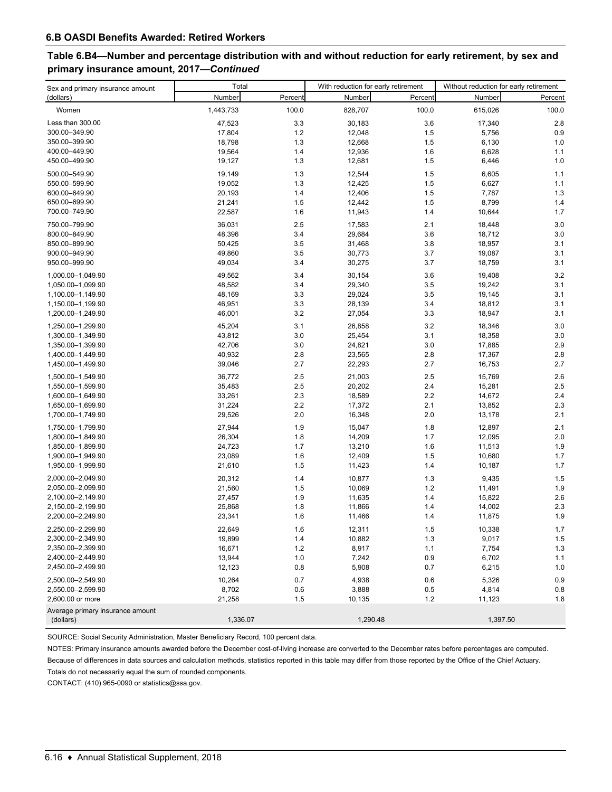## **Table 6.B4—Number and percentage distribution with and without reduction for early retirement, by sex and primary insurance amount, 2017—***Continued*

| Sex and primary insurance amount | Total     |         | With reduction for early retirement |         | Without reduction for early retirement |         |  |
|----------------------------------|-----------|---------|-------------------------------------|---------|----------------------------------------|---------|--|
| (dollars)                        | Number    | Percent | Number                              | Percent | Number                                 | Percent |  |
| Women                            | 1,443,733 | 100.0   | 828,707                             | 100.0   | 615,026                                | 100.0   |  |
| Less than 300.00                 | 47,523    | 3.3     | 30,183                              | 3.6     | 17,340                                 | 2.8     |  |
| 300.00-349.90                    | 17,804    | 1.2     | 12,048                              | 1.5     | 5,756                                  | 0.9     |  |
| 350.00-399.90                    | 18,798    | 1.3     | 12,668                              | 1.5     | 6,130                                  | 1.0     |  |
| 400.00-449.90                    | 19,564    | 1.4     | 12,936                              | 1.6     | 6,628                                  | 1.1     |  |
| 450.00-499.90                    | 19,127    | 1.3     | 12,681                              | 1.5     | 6,446                                  | 1.0     |  |
| 500.00-549.90                    | 19,149    | 1.3     | 12,544                              | 1.5     | 6,605                                  | 1.1     |  |
| 550.00-599.90                    | 19,052    | 1.3     | 12,425                              | 1.5     | 6,627                                  | 1.1     |  |
| 600.00-649.90                    | 20,193    | 1.4     | 12,406                              | 1.5     | 7,787                                  | 1.3     |  |
| 650.00-699.90                    | 21,241    | 1.5     | 12,442                              | 1.5     | 8,799                                  | 1.4     |  |
| 700.00-749.90                    | 22,587    | 1.6     | 11,943                              | 1.4     | 10,644                                 | 1.7     |  |
| 750.00-799.90                    | 36,031    | 2.5     | 17,583                              | 2.1     | 18,448                                 | 3.0     |  |
| 800.00-849.90                    | 48,396    | 3.4     | 29,684                              | 3.6     | 18,712                                 | 3.0     |  |
| 850.00-899.90                    | 50,425    | 3.5     | 31,468                              | 3.8     | 18,957                                 | 3.1     |  |
| 900.00-949.90                    | 49,860    | 3.5     | 30,773                              | 3.7     | 19,087                                 | 3.1     |  |
| 950.00-999.90                    | 49,034    | 3.4     | 30,275                              | 3.7     | 18,759                                 | 3.1     |  |
| 1,000.00-1,049.90                | 49,562    | 3.4     | 30,154                              | 3.6     | 19,408                                 | 3.2     |  |
| 1,050.00-1,099.90                | 48,582    | 3.4     | 29,340                              | 3.5     | 19,242                                 | 3.1     |  |
| 1,100.00-1,149.90                | 48,169    | 3.3     | 29,024                              | 3.5     | 19,145                                 | 3.1     |  |
| 1,150.00-1,199.90                | 46,951    | 3.3     | 28,139                              | 3.4     | 18,812                                 | 3.1     |  |
| 1,200.00-1,249.90                | 46,001    | 3.2     | 27,054                              | 3.3     | 18,947                                 | 3.1     |  |
| 1,250.00-1,299.90                | 45,204    | 3.1     | 26,858                              | 3.2     | 18,346                                 | 3.0     |  |
| 1,300.00-1,349.90                | 43,812    | 3.0     | 25,454                              | 3.1     | 18,358                                 | 3.0     |  |
| 1,350.00-1,399.90                | 42,706    | 3.0     | 24,821                              | 3.0     | 17,885                                 | 2.9     |  |
| 1,400.00-1,449.90                | 40,932    | 2.8     | 23,565                              | 2.8     | 17,367                                 | 2.8     |  |
| 1,450.00-1,499.90                | 39,046    | 2.7     | 22,293                              | 2.7     | 16,753                                 | 2.7     |  |
| 1,500.00-1,549.90                | 36,772    | 2.5     | 21,003                              | 2.5     | 15,769                                 | 2.6     |  |
| 1,550.00-1,599.90                | 35,483    | 2.5     | 20,202                              | 2.4     | 15,281                                 | 2.5     |  |
| 1,600.00-1,649.90                | 33,261    | 2.3     | 18,589                              | 2.2     | 14,672                                 | 2.4     |  |
| 1,650.00-1,699.90                | 31,224    | 2.2     | 17,372                              | 2.1     | 13,852                                 | 2.3     |  |
| 1,700.00-1,749.90                | 29,526    | 2.0     | 16,348                              | 2.0     | 13,178                                 | 2.1     |  |
| 1,750.00-1,799.90                | 27,944    | 1.9     | 15,047                              | 1.8     | 12,897                                 | 2.1     |  |
| 1,800.00-1,849.90                | 26,304    | 1.8     | 14,209                              | 1.7     | 12,095                                 | 2.0     |  |
| 1,850.00-1,899.90                | 24,723    | 1.7     | 13,210                              | 1.6     | 11,513                                 | 1.9     |  |
| 1,900.00-1,949.90                | 23,089    | 1.6     | 12,409                              | 1.5     | 10,680                                 | 1.7     |  |
| 1,950.00-1,999.90                | 21,610    | 1.5     | 11,423                              | 1.4     | 10,187                                 | 1.7     |  |
| 2,000.00-2,049.90                | 20,312    | 1.4     | 10,877                              | 1.3     | 9,435                                  | 1.5     |  |
| 2,050.00-2,099.90                | 21,560    | 1.5     | 10,069                              | 1.2     | 11,491                                 | 1.9     |  |
| 2,100.00-2,149.90                | 27,457    | 1.9     | 11,635                              | 1.4     | 15,822                                 | 2.6     |  |
| 2,150.00-2,199.90                | 25,868    | 1.8     | 11,866                              | 1.4     | 14,002                                 | 2.3     |  |
| 2,200.00-2,249.90                | 23,341    | 1.6     | 11,466                              | 1.4     | 11,875                                 | 1.9     |  |
| 2,250.00-2,299.90                | 22,649    | 1.6     | 12,311                              | 1.5     | 10,338                                 | 1.7     |  |
| 2,300.00-2,349.90                | 19,899    | 1.4     | 10,882                              | 1.3     | 9,017                                  | 1.5     |  |
| 2,350.00-2,399.90                | 16,671    | 1.2     | 8,917                               | 1.1     | 7,754                                  | 1.3     |  |
| 2,400.00-2,449.90                | 13,944    | 1.0     | 7,242                               | 0.9     | 6,702                                  | 1.1     |  |
| 2,450.00-2,499.90                | 12,123    | 0.8     | 5,908                               | 0.7     | 6,215                                  | 1.0     |  |
| 2,500.00-2,549.90                | 10,264    | 0.7     | 4,938                               | 0.6     | 5,326                                  | 0.9     |  |
| 2,550.00-2,599.90                | 8,702     | 0.6     | 3,888                               | 0.5     | 4,814                                  | 0.8     |  |
| 2,600.00 or more                 | 21,258    | 1.5     | 10,135                              | 1.2     | 11,123                                 | 1.8     |  |
| Average primary insurance amount |           |         |                                     |         |                                        |         |  |
| (dollars)                        | 1,336.07  |         | 1,290.48                            |         | 1,397.50                               |         |  |

SOURCE: Social Security Administration, Master Beneficiary Record, 100 percent data.

Totals do not necessarily equal the sum of rounded components. NOTES: Primary insurance amounts awarded before the December cost-of-living increase are converted to the December rates before percentages are computed. Because of differences in data sources and calculation methods, statistics reported in this table may differ from those reported by the Office of the Chief Actuary.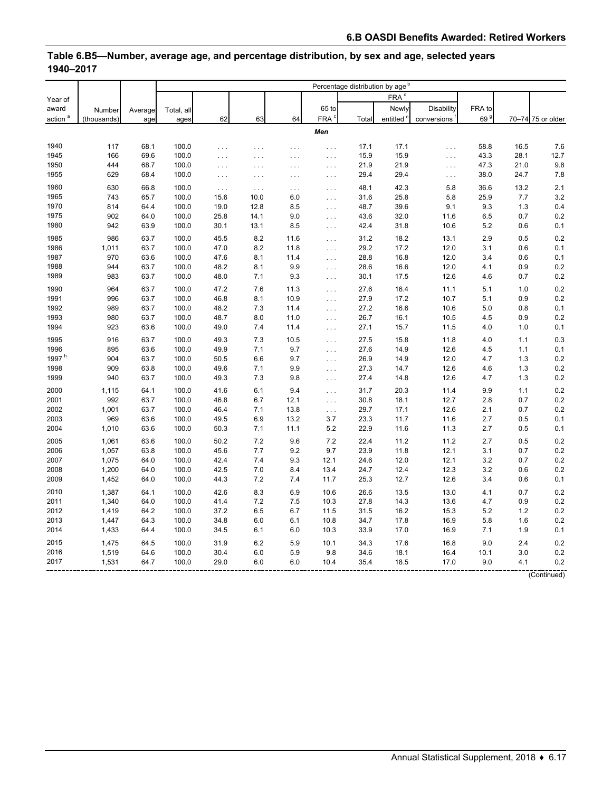|                     |             |         |            |          |                      |          |                      | Percentage distribution by age <sup>b</sup> |                       |             |                 |      |                   |
|---------------------|-------------|---------|------------|----------|----------------------|----------|----------------------|---------------------------------------------|-----------------------|-------------|-----------------|------|-------------------|
| Year of             |             |         |            |          |                      |          |                      |                                             | FRA <sup>d</sup>      |             |                 |      |                   |
| award               | Number      | Average | Total, all |          |                      |          | 65 to                |                                             | Newly                 | Disability  | FRA to          |      |                   |
| action <sup>a</sup> | (thousands) | age     | ages       | 62       | 63                   | 64       | FRA <sup>c</sup>     | Total                                       | entitled <sup>e</sup> | conversions | 69 <sup>9</sup> |      | 70-74 75 or older |
|                     |             |         |            |          |                      |          | Men                  |                                             |                       |             |                 |      |                   |
|                     |             |         |            |          |                      |          |                      |                                             |                       |             |                 |      |                   |
| 1940                | 117         | 68.1    | 100.0      | .        | $\cdots$             | $\cdots$ | .                    | 17.1                                        | 17.1                  | $\cdots$    | 58.8            | 16.5 | 7.6               |
| 1945                | 166         | 69.6    | 100.0      | .        | $\cdots$             | $\cdots$ | $\sim$ $\sim$        | 15.9                                        | 15.9                  | $\sim 100$  | 43.3            | 28.1 | 12.7              |
| 1950                | 444         | 68.7    | 100.0      | .        | $\cdots$             | $\ldots$ | $\sim$ $\sim$ $\sim$ | 21.9                                        | 21.9                  | $\cdots$    | 47.3            | 21.0 | 9.8               |
| 1955                | 629         | 68.4    | 100.0      | $\ldots$ | $\cdots$             | $\cdots$ | $\cdots$             | 29.4                                        | 29.4                  | $\cdots$    | 38.0            | 24.7 | 7.8               |
| 1960                | 630         | 66.8    | 100.0      | $\ldots$ | $\sim$ $\sim$ $\sim$ | $\ldots$ | .                    | 48.1                                        | 42.3                  | 5.8         | 36.6            | 13.2 | 2.1               |
| 1965                | 743         | 65.7    | 100.0      | 15.6     | 10.0                 | 6.0      | $\ldots$             | 31.6                                        | 25.8                  | 5.8         | 25.9            | 7.7  | 3.2               |
| 1970                | 814         | 64.4    | 100.0      | 19.0     | 12.8                 | 8.5      | $\sim 100$           | 48.7                                        | 39.6                  | 9.1         | 9.3             | 1.3  | 0.4               |
| 1975                | 902         | 64.0    | 100.0      | 25.8     | 14.1                 | 9.0      | $\ldots$             | 43.6                                        | 32.0                  | 11.6        | 6.5             | 0.7  | 0.2               |
| 1980                | 942         | 63.9    | 100.0      | 30.1     | 13.1                 | 8.5      | $\ldots$             | 42.4                                        | 31.8                  | 10.6        | 5.2             | 0.6  | 0.1               |
| 1985                | 986         | 63.7    | 100.0      | 45.5     | 8.2                  | 11.6     | .                    | 31.2                                        | 18.2                  | 13.1        | 2.9             | 0.5  | 0.2               |
| 1986                | 1,011       | 63.7    | 100.0      | 47.0     | 8.2                  | 11.8     | $\sim$ $\sim$ $\sim$ | 29.2                                        | 17.2                  | 12.0        | 3.1             | 0.6  | 0.1               |
| 1987                | 970         | 63.6    | 100.0      | 47.6     | 8.1                  | 11.4     | .                    | 28.8                                        | 16.8                  | 12.0        | 3.4             | 0.6  | 0.1               |
| 1988                | 944         | 63.7    | 100.0      | 48.2     | 8.1                  | 9.9      | $\ldots$             | 28.6                                        | 16.6                  | 12.0        | 4.1             | 0.9  | 0.2               |
| 1989                | 983         | 63.7    | 100.0      | 48.0     | 7.1                  | 9.3      | $\sim$ $\sim$ $\sim$ | 30.1                                        | 17.5                  | 12.6        | 4.6             | 0.7  | 0.2               |
| 1990                | 964         | 63.7    | 100.0      | 47.2     | 7.6                  | 11.3     | .                    | 27.6                                        | 16.4                  | 11.1        | 5.1             | 1.0  | 0.2               |
| 1991                | 996         | 63.7    | 100.0      | 46.8     | 8.1                  | 10.9     | $\sim 100$           | 27.9                                        | 17.2                  | 10.7        | 5.1             | 0.9  | 0.2               |
| 1992                | 989         | 63.7    | 100.0      | 48.2     | 7.3                  | 11.4     | $\ldots$             | 27.2                                        | 16.6                  | 10.6        | 5.0             | 0.8  | 0.1               |
| 1993                | 980         | 63.7    | 100.0      | 48.7     | 8.0                  | 11.0     | .                    | 26.7                                        | 16.1                  | 10.5        | 4.5             | 0.9  | 0.2               |
| 1994                | 923         | 63.6    | 100.0      | 49.0     | 7.4                  | 11.4     | $\sim$ $\sim$ $\sim$ | 27.1                                        | 15.7                  | 11.5        | 4.0             | 1.0  | 0.1               |
| 1995                | 916         | 63.7    | 100.0      | 49.3     | 7.3                  | 10.5     | $\cdots$             | 27.5                                        | 15.8                  | 11.8        | 4.0             | 1.1  | 0.3               |
| 1996                | 895         | 63.6    | 100.0      | 49.9     | 7.1                  | 9.7      | $\sim$ $\sim$ $\sim$ | 27.6                                        | 14.9                  | 12.6        | 4.5             | 1.1  | 0.1               |
| 1997 <sup>h</sup>   | 904         | 63.7    | 100.0      | 50.5     | 6.6                  | 9.7      | $\ldots$             | 26.9                                        | 14.9                  | 12.0        | 4.7             | 1.3  | 0.2               |
| 1998                | 909         | 63.8    | 100.0      | 49.6     | 7.1                  | 9.9      | .                    | 27.3                                        | 14.7                  | 12.6        | 4.6             | 1.3  | 0.2               |
| 1999                | 940         | 63.7    | 100.0      | 49.3     | 7.3                  | 9.8      | $\ldots$             | 27.4                                        | 14.8                  | 12.6        | 4.7             | 1.3  | 0.2               |
| 2000                | 1,115       | 64.1    | 100.0      | 41.6     | 6.1                  | 9.4      | $\cdots$             | 31.7                                        | 20.3                  | 11.4        | 9.9             | 1.1  | 0.2               |
| 2001                | 992         | 63.7    | 100.0      | 46.8     | 6.7                  | 12.1     | $\ldots$             | 30.8                                        | 18.1                  | 12.7        | 2.8             | 0.7  | 0.2               |
| 2002                | 1,001       | 63.7    | 100.0      | 46.4     | 7.1                  | 13.8     | .                    | 29.7                                        | 17.1                  | 12.6        | 2.1             | 0.7  | 0.2               |
| 2003                | 969         | 63.6    | 100.0      | 49.5     | 6.9                  | 13.2     | 3.7                  | 23.3                                        | 11.7                  | 11.6        | 2.7             | 0.5  | 0.1               |
| 2004                | 1,010       | 63.6    | 100.0      | 50.3     | 7.1                  | 11.1     | 5.2                  | 22.9                                        | 11.6                  | 11.3        | 2.7             | 0.5  | 0.1               |
| 2005                | 1,061       | 63.6    | 100.0      | 50.2     | 7.2                  | 9.6      | 7.2                  | 22.4                                        | 11.2                  | 11.2        | 2.7             | 0.5  | 0.2               |
| 2006                | 1,057       | 63.8    | 100.0      | 45.6     | 7.7                  | 9.2      | 9.7                  | 23.9                                        | 11.8                  | 12.1        | 3.1             | 0.7  | 0.2               |
| 2007                | 1,075       | 64.0    | 100.0      | 42.4     | 7.4                  | 9.3      | 12.1                 | 24.6                                        | 12.0                  | 12.1        | 3.2             | 0.7  | 0.2               |
| 2008                | 1,200       | 64.0    | 100.0      | 42.5     | 7.0                  | 8.4      | 13.4                 | 24.7                                        | 12.4                  | 12.3        | 3.2             | 0.6  | 0.2               |
| 2009                | 1,452       | 64.0    | 100.0      | 44.3     | 7.2                  | 7.4      | 11.7                 | 25.3                                        | 12.7                  | 12.6        | 3.4             | 0.6  | 0.1               |
| 2010                | 1,387       | 64.1    | 100.0      | 42.6     | 8.3                  | 6.9      | 10.6                 | 26.6                                        | 13.5                  | 13.0        | 4.1             | 0.7  | 0.2               |
| 2011                | 1,340       | 64.0    | 100.0      | 41.4     | 7.2                  | 7.5      | 10.3                 | 27.8                                        | 14.3                  | 13.6        | 4.7             | 0.9  | 0.2               |
| 2012                | 1,419       | 64.2    | 100.0      | 37.2     | 6.5                  | 6.7      | 11.5                 | 31.5                                        | 16.2                  | 15.3        | 5.2             | 1.2  | 0.2               |
| 2013                | 1,447       | 64.3    | 100.0      | 34.8     | 6.0                  | 6.1      | 10.8                 | 34.7                                        | 17.8                  | 16.9        | 5.8             | 1.6  | 0.2               |
| 2014                | 1,433       | 64.4    | 100.0      | 34.5     | 6.1                  | 6.0      | 10.3                 | 33.9                                        | 17.0                  | 16.9        | 7.1             | 1.9  | 0.1               |
| 2015                | 1,475       | 64.5    | 100.0      | 31.9     | 6.2                  | 5.9      | 10.1                 | 34.3                                        | 17.6                  | 16.8        | 9.0             | 2.4  | 0.2               |
| 2016                | 1,519       | 64.6    | 100.0      | 30.4     | 6.0                  | 5.9      | 9.8                  | 34.6                                        | 18.1                  | 16.4        | 10.1            | 3.0  | 0.2               |
| 2017                | 1,531       | 64.7    | 100.0      | 29.0     | 6.0                  | 6.0      | 10.4                 | 35.4                                        | 18.5                  | 17.0        | 9.0             | 4.1  | 0.2               |
|                     |             |         |            |          |                      |          |                      |                                             |                       |             |                 |      |                   |

### **Table 6.B5—Number, average age, and percentage distribution, by sex and age, selected years 1940–2017**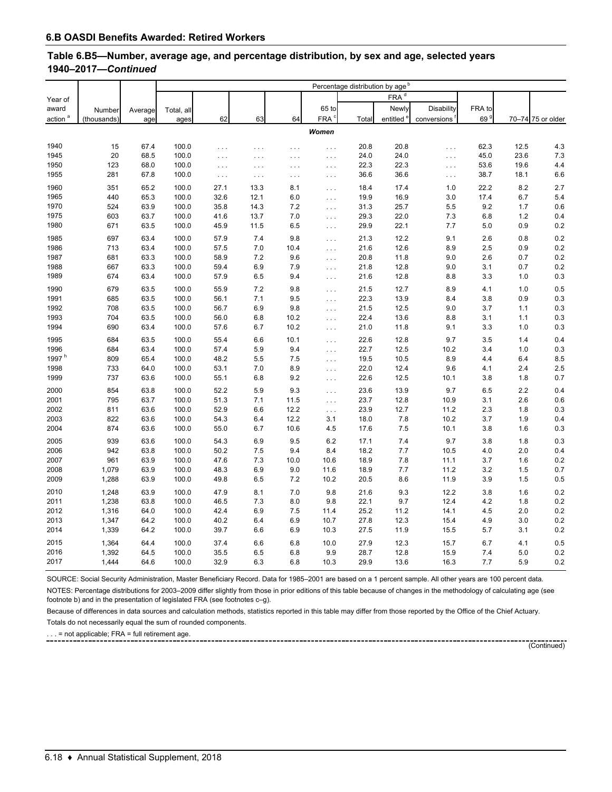#### **Table 6.B5—Number, average age, and percentage distribution, by sex and age, selected years 1940–2017—***Continued*

|                     |                |         |            |              |          |            |                      |       | Percentage distribution by age <sup>b</sup> |             |                 |      |                   |
|---------------------|----------------|---------|------------|--------------|----------|------------|----------------------|-------|---------------------------------------------|-------------|-----------------|------|-------------------|
| Year of             |                |         |            |              |          |            |                      |       | $FRA^d$                                     |             |                 |      |                   |
| award               | Number         | Average | Total, all |              |          |            | 65 to                |       | Newly                                       | Disability  | FRA to          |      |                   |
| action <sup>a</sup> | (thousands)    | age     | ages       | 62           | 63       | 64         | FRA <sup>c</sup>     | Total | entitled <sup>e</sup>                       | conversions | 69 <sup>9</sup> |      | 70-74 75 or older |
|                     |                |         |            |              |          |            | Women                |       |                                             |             |                 |      |                   |
|                     |                |         |            |              |          |            |                      |       |                                             |             |                 |      |                   |
| 1940                | 15             | 67.4    | 100.0      | .            | .        | $\cdots$   | $\ldots$             | 20.8  | 20.8                                        | .           | 62.3            | 12.5 | 4.3               |
| 1945                | 20             | 68.5    | 100.0      | .            | $\cdots$ | $\cdots$   | $\sim$ $\sim$ $\sim$ | 24.0  | 24.0                                        | $\cdots$    | 45.0            | 23.6 | 7.3               |
| 1950                | 123            | 68.0    | 100.0      | .            | $\ldots$ | $\ldots$   | $\ldots$             | 22.3  | 22.3                                        | $\cdots$    | 53.6            | 19.6 | 4.4               |
| 1955                | 281            | 67.8    | 100.0      | $\ldots$     | $\cdots$ | $\ldots$   | $\sim$ $\sim$ $\sim$ | 36.6  | 36.6                                        | $\cdots$    | 38.7            | 18.1 | 6.6               |
| 1960                | 351            | 65.2    | 100.0      | 27.1         | 13.3     | 8.1        | $\ldots$             | 18.4  | 17.4                                        | 1.0         | 22.2            | 8.2  | 2.7               |
| 1965                | 440            | 65.3    | 100.0      | 32.6         | 12.1     | 6.0        | $\ldots$             | 19.9  | 16.9                                        | 3.0         | 17.4            | 6.7  | 5.4               |
| 1970                | 524            | 63.9    | 100.0      | 35.8         | 14.3     | 7.2        | $\ldots$             | 31.3  | 25.7                                        | 5.5         | 9.2             | 1.7  | 0.6               |
| 1975                | 603            | 63.7    | 100.0      | 41.6         | 13.7     | 7.0        | $\ldots$             | 29.3  | 22.0                                        | 7.3         | 6.8             | 1.2  | 0.4               |
| 1980                | 671            | 63.5    | 100.0      | 45.9         | 11.5     | 6.5        | $\ldots$             | 29.9  | 22.1                                        | 7.7         | 5.0             | 0.9  | 0.2               |
| 1985                | 697            | 63.4    | 100.0      | 57.9         | 7.4      | 9.8        | $\cdots$             | 21.3  | 12.2                                        | 9.1         | 2.6             | 0.8  | 0.2               |
| 1986                | 713            | 63.4    | 100.0      | 57.5         | 7.0      | 10.4       | $\cdots$             | 21.6  | 12.6                                        | 8.9         | 2.5             | 0.9  | 0.2               |
| 1987                | 681            | 63.3    | 100.0      | 58.9         | 7.2      | 9.6        | $\ldots$             | 20.8  | 11.8                                        | 9.0         | 2.6             | 0.7  | 0.2               |
| 1988                | 667            | 63.3    | 100.0      | 59.4         | 6.9      | 7.9        | $\cdots$             | 21.8  | 12.8                                        | 9.0         | 3.1             | 0.7  | 0.2               |
| 1989                | 674            | 63.4    | 100.0      | 57.9         | 6.5      | 9.4        | $\cdots$             | 21.6  | 12.8                                        | 8.8         | 3.3             | 1.0  | 0.3               |
| 1990                | 679            | 63.5    | 100.0      | 55.9         | 7.2      | 9.8        | $\cdots$             | 21.5  | 12.7                                        | 8.9         | 4.1             | 1.0  | 0.5               |
| 1991                | 685            | 63.5    | 100.0      | 56.1         | 7.1      | 9.5        | $\ldots$             | 22.3  | 13.9                                        | 8.4         | 3.8             | 0.9  | 0.3               |
| 1992                | 708            | 63.5    | 100.0      | 56.7         | 6.9      | 9.8        | $\ldots$             | 21.5  | 12.5                                        | 9.0         | 3.7             | 1.1  | 0.3               |
| 1993                | 704            | 63.5    | 100.0      | 56.0         | 6.8      | 10.2       | $\ldots$             | 22.4  | 13.6                                        | 8.8         | 3.1             | 1.1  | 0.3               |
| 1994                | 690            | 63.4    | 100.0      | 57.6         | 6.7      | 10.2       | $\ldots$             | 21.0  | 11.8                                        | 9.1         | 3.3             | 1.0  | 0.3               |
| 1995                | 684            | 63.5    | 100.0      | 55.4         | 6.6      | 10.1       | $\ldots$             | 22.6  | 12.8                                        | 9.7         | 3.5             | 1.4  | 0.4               |
| 1996                | 684            | 63.4    | 100.0      | 57.4         | 5.9      | 9.4        | $\ldots$             | 22.7  | 12.5                                        | 10.2        | 3.4             | 1.0  | 0.3               |
| 1997 $h$            | 809            | 65.4    | 100.0      | 48.2         | 5.5      | 7.5        | $\cdots$             | 19.5  | 10.5                                        | 8.9         | 4.4             | 6.4  | 8.5               |
| 1998                | 733            | 64.0    | 100.0      | 53.1         | 7.0      | 8.9        | $\cdots$             | 22.0  | 12.4                                        | 9.6         | 4.1             | 2.4  | 2.5               |
| 1999                | 737            | 63.6    | 100.0      | 55.1         | 6.8      | 9.2        | $\cdots$             | 22.6  | 12.5                                        | 10.1        | 3.8             | 1.8  | 0.7               |
| 2000                | 854            | 63.8    | 100.0      | 52.2         | 5.9      | 9.3        | $\cdots$             | 23.6  | 13.9                                        | 9.7         | 6.5             | 2.2  | 0.4               |
| 2001                | 795            | 63.7    | 100.0      | 51.3         | 7.1      | 11.5       | $\ldots$             | 23.7  | 12.8                                        | 10.9        | 3.1             | 2.6  | 0.6               |
| 2002                | 811            | 63.6    | 100.0      | 52.9         | 6.6      | 12.2       | $\ldots$             | 23.9  | 12.7                                        | 11.2        | 2.3             | 1.8  | 0.3               |
| 2003                | 822            | 63.6    | 100.0      | 54.3         | 6.4      | 12.2       | 3.1                  | 18.0  | 7.8                                         | 10.2        | 3.7             | 1.9  | 0.4               |
| 2004                | 874            | 63.6    | 100.0      | 55.0         | 6.7      | 10.6       | 4.5                  | 17.6  | 7.5                                         | 10.1        | 3.8             | 1.6  | 0.3               |
| 2005                | 939            | 63.6    | 100.0      | 54.3         | 6.9      | 9.5        | 6.2                  | 17.1  | 7.4                                         | 9.7         | 3.8             | 1.8  | 0.3               |
| 2006                | 942            | 63.8    | 100.0      | 50.2         | 7.5      | 9.4        | 8.4                  | 18.2  | 7.7                                         | 10.5        | 4.0             | 2.0  | 0.4               |
| 2007                | 961            | 63.9    | 100.0      | 47.6         | 7.3      | 10.0       | 10.6                 | 18.9  | 7.8                                         | 11.1        | 3.7             | 1.6  | 0.2               |
| 2008                | 1,079          | 63.9    | 100.0      | 48.3         | 6.9      | 9.0        | 11.6                 | 18.9  | 7.7                                         | 11.2        | 3.2             | 1.5  | 0.7               |
| 2009                | 1,288          | 63.9    | 100.0      | 49.8         | 6.5      | 7.2        | 10.2                 | 20.5  | 8.6                                         | 11.9        | 3.9             | 1.5  | 0.5               |
| 2010                | 1,248          | 63.9    | 100.0      | 47.9         | 8.1      | 7.0        | 9.8                  | 21.6  | 9.3                                         | 12.2        | 3.8             | 1.6  | 0.2               |
|                     |                |         |            |              |          |            |                      |       |                                             |             |                 |      |                   |
| 2011                | 1,238<br>1,316 | 63.8    | 100.0      | 46.5         | 7.3      | 8.0<br>7.5 | 9.8                  | 22.1  | 9.7<br>11.2                                 | 12.4        | 4.2             | 1.8  | 0.2<br>0.2        |
| 2012                |                | 64.0    | 100.0      | 42.4<br>40.2 | 6.9      |            | 11.4                 | 25.2  |                                             | 14.1        | 4.5             | 2.0  | 0.2               |
| 2013                | 1,347          | 64.2    | 100.0      |              | 6.4      | 6.9        | 10.7                 | 27.8  | 12.3                                        | 15.4        | 4.9             | 3.0  |                   |
| 2014                | 1,339          | 64.2    | 100.0      | 39.7         | 6.6      | 6.9        | 10.3                 | 27.5  | 11.9                                        | 15.5        | 5.7             | 3.1  | $0.2\,$           |
| 2015                | 1,364          | 64.4    | 100.0      | 37.4         | 6.6      | 6.8        | 10.0                 | 27.9  | 12.3                                        | 15.7        | 6.7             | 4.1  | 0.5               |
| 2016                | 1,392          | 64.5    | 100.0      | 35.5         | 6.5      | 6.8        | 9.9                  | 28.7  | 12.8                                        | 15.9        | 7.4             | 5.0  | 0.2               |
| 2017                | 1,444          | 64.6    | 100.0      | 32.9         | 6.3      | 6.8        | 10.3                 | 29.9  | 13.6                                        | 16.3        | 7.7             | 5.9  | 0.2               |

SOURCE: Social Security Administration, Master Beneficiary Record. Data for 1985–2001 are based on a 1 percent sample. All other years are 100 percent data. NOTES: Percentage distributions for 2003–2009 differ slightly from those in prior editions of this table because of changes in the methodology of calculating age (see footnote b) and in the presentation of legislated FRA (see footnotes c–g).

Because of differences in data sources and calculation methods, statistics reported in this table may differ from those reported by the Office of the Chief Actuary.

Totals do not necessarily equal the sum of rounded components.

 $\dots$  = not applicable; FRA = full retirement age.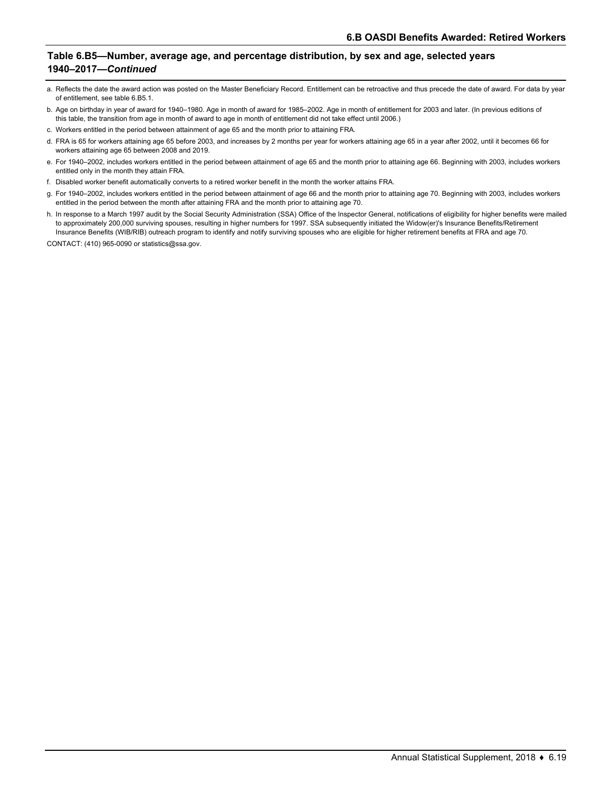#### **Table 6.B5—Number, average age, and percentage distribution, by sex and age, selected years 1940–2017—***Continued*

- a. Reflects the date the award action was posted on the Master Beneficiary Record. Entitlement can be retroactive and thus precede the date of award. For data by year of entitlement, see table 6.B5.1.
- b. Age on birthday in year of award for 1940–1980. Age in month of award for 1985–2002. Age in month of entitlement for 2003 and later. (In previous editions of this table, the transition from age in month of award to age in month of entitlement did not take effect until 2006.)
- c. Workers entitled in the period between attainment of age 65 and the month prior to attaining FRA.
- d. FRA is 65 for workers attaining age 65 before 2003, and increases by 2 months per year for workers attaining age 65 in a year after 2002, until it becomes 66 for workers attaining age 65 between 2008 and 2019.
- e. For 1940–2002, includes workers entitled in the period between attainment of age 65 and the month prior to attaining age 66. Beginning with 2003, includes workers entitled only in the month they attain FRA.
- f. Disabled worker benefit automatically converts to a retired worker benefit in the month the worker attains FRA.
- g. For 1940–2002, includes workers entitled in the period between attainment of age 66 and the month prior to attaining age 70. Beginning with 2003, includes workers entitled in the period between the month after attaining FRA and the month prior to attaining age 70.
- h. In response to a March 1997 audit by the Social Security Administration (SSA) Office of the Inspector General, notifications of eligibility for higher benefits were mailed to approximately 200,000 surviving spouses, resulting in higher numbers for 1997. SSA subsequently initiated the Widow(er)'s Insurance Benefits/Retirement Insurance Benefits (WIB/RIB) outreach program to identify and notify surviving spouses who are eligible for higher retirement benefits at FRA and age 70.